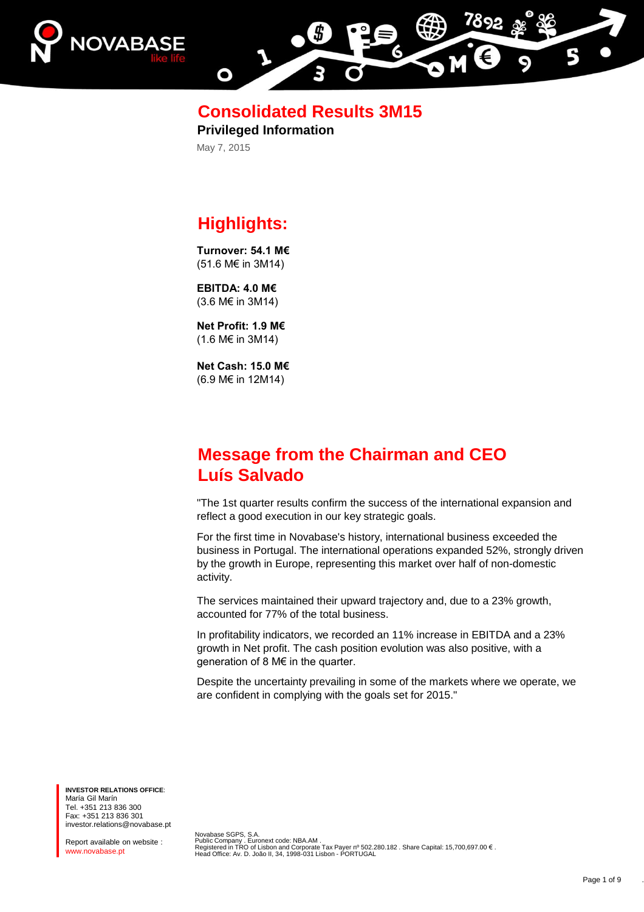



**Consolidated Results 3M15**

**Privileged Information** May 7, 2015

# **Highlights:**

**Turnover: 54.1 M€** (51.6 M€ in 3M14)

**EBITDA: 4.0 M€** (3.6 M€ in 3M14)

**Net Profit: 1.9 M€** (1.6 M€ in 3M14)

**Net Cash: 15.0 M€** (6.9 M€ in 12M14)

# **Message from the Chairman and CEO Luís Salvado**

"The 1st quarter results confirm the success of the international expansion and reflect a good execution in our key strategic goals.

For the first time in Novabase's history, international business exceeded the business in Portugal. The international operations expanded 52%, strongly driven by the growth in Europe, representing this market over half of non-domestic activity.

The services maintained their upward trajectory and, due to a 23% growth, accounted for 77% of the total business.

In profitability indicators, we recorded an 11% increase in EBITDA and a 23% growth in Net profit. The cash position evolution was also positive, with a generation of 8 M€ in the quarter.

Despite the uncertainty prevailing in some of the markets where we operate, we are confident in complying with the goals set for 2015."

**INVESTOR RELATIONS OFFICE**: María Gil Marín Tel. +351 213 836 300 Fax: +351 213 836 301 investor.relations@novabase.pt

Report available on website : www.novabase.pt

Novabase SGPS, S.A.<br>Public Company . Euronext code: NBA.AM .<br>Registered in TRO of Lisbon and Corporate Tax Payer nº 502.280.182 . Share Capital: 15,700,697.00 € .<br>Head Office: Av. D. João II, 34, 1998-031 Lisbon - PORTUGA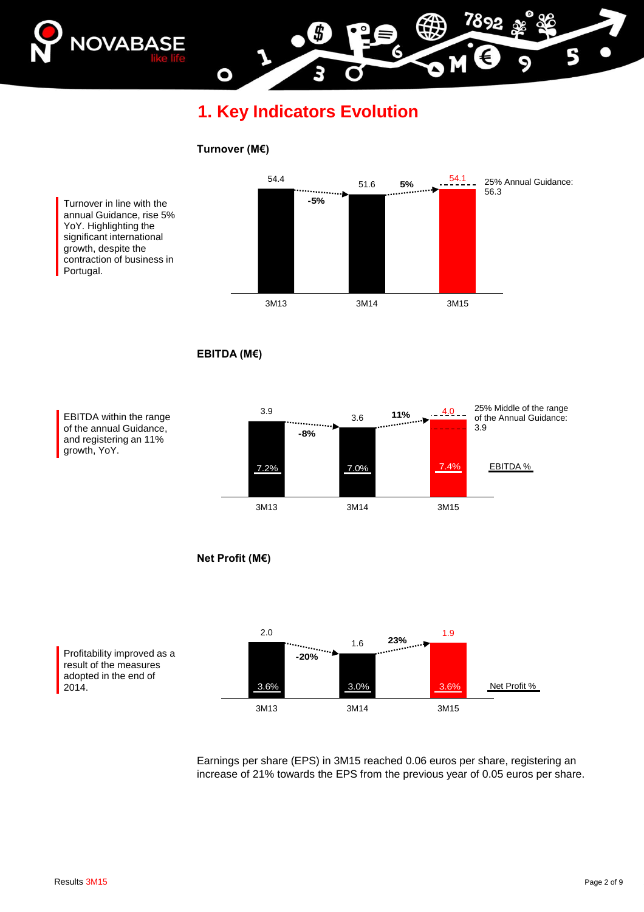

**1. Key Indicators Evolution**

#### **Turnover (M€)**

O

Turnover in line with the annual Guidance, rise 5% YoY. Highlighting the significant international growth, despite the contraction of business in Portugal.



**EBITDA (M€)**







Earnings per share (EPS) in 3M15 reached 0.06 euros per share, registering an increase of 21% towards the EPS from the previous year of 0.05 euros per share.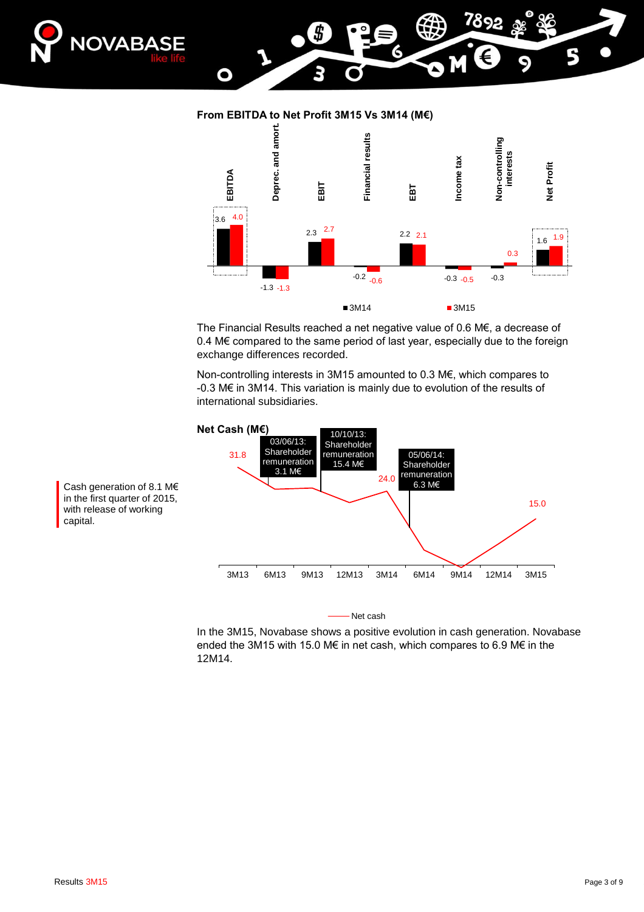

#### **From EBITDA to Net Profit 3M15 Vs 3M14 (M€)**

O



The Financial Results reached a net negative value of 0.6 M€, a decrease of 0.4 M€ compared to the same period of last year, especially due to the foreign exchange differences recorded.

Non-controlling interests in 3M15 amounted to 0.3 M€, which compares to -0.3 M€ in 3M14. This variation is mainly due to evolution of the results of international subsidiaries.



Net cash

In the 3M15, Novabase shows a positive evolution in cash generation. Novabase ended the 3M15 with 15.0 M€ in net cash, which compares to 6.9 M€ in the 12M14.

Cash generation of 8.1 M€ in the first quarter of 2015, with release of working capital.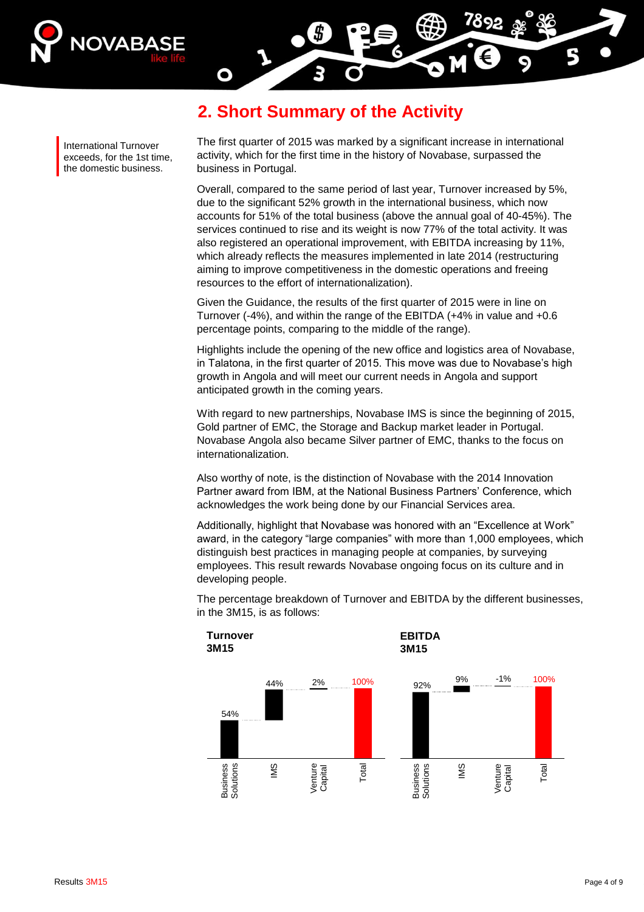

**2. Short Summary of the Activity**

O

International Turnover exceeds, for the 1st time, the domestic business.

The first quarter of 2015 was marked by a significant increase in international activity, which for the first time in the history of Novabase, surpassed the business in Portugal.

Overall, compared to the same period of last year, Turnover increased by 5%, due to the significant 52% growth in the international business, which now accounts for 51% of the total business (above the annual goal of 40-45%). The services continued to rise and its weight is now 77% of the total activity. It was also registered an operational improvement, with EBITDA increasing by 11%, which already reflects the measures implemented in late 2014 (restructuring aiming to improve competitiveness in the domestic operations and freeing resources to the effort of internationalization).

Given the Guidance, the results of the first quarter of 2015 were in line on Turnover (-4%), and within the range of the EBITDA (+4% in value and +0.6 percentage points, comparing to the middle of the range).

Highlights include the opening of the new office and logistics area of Novabase, in Talatona, in the first quarter of 2015. This move was due to Novabase's high growth in Angola and will meet our current needs in Angola and support anticipated growth in the coming years.

With regard to new partnerships, Novabase IMS is since the beginning of 2015, Gold partner of EMC, the Storage and Backup market leader in Portugal. Novabase Angola also became Silver partner of EMC, thanks to the focus on internationalization.

Also worthy of note, is the distinction of Novabase with the 2014 Innovation Partner award from IBM, at the National Business Partners' Conference, which acknowledges the work being done by our Financial Services area.

Additionally, highlight that Novabase was honored with an "Excellence at Work" award, in the category "large companies" with more than 1,000 employees, which distinguish best practices in managing people at companies, by surveying employees. This result rewards Novabase ongoing focus on its culture and in developing people.



The percentage breakdown of Turnover and EBITDA by the different businesses, in the 3M15, is as follows: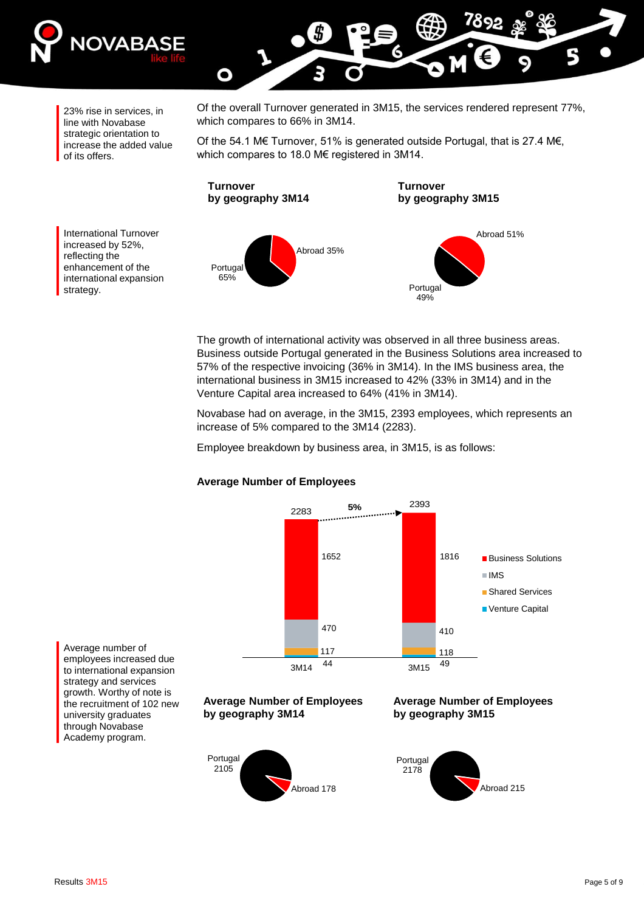

23% rise in services, in line with Novabase strategic orientation to increase the added value of its offers.

Of the overall Turnover generated in 3M15, the services rendered represent 77%, which compares to 66% in 3M14.

Of the 54.1 M€ Turnover, 51% is generated outside Portugal, that is 27.4 M€, which compares to 18.0 M€ registered in 3M14.

**Turnover by geography 3M14**

O

**Turnover by geography 3M15**



Portugal 49% Abroad 51%

The growth of international activity was observed in all three business areas. Business outside Portugal generated in the Business Solutions area increased to 57% of the respective invoicing (36% in 3M14). In the IMS business area, the international business in 3M15 increased to 42% (33% in 3M14) and in the Venture Capital area increased to 64% (41% in 3M14).

Novabase had on average, in the 3M15, 2393 employees, which represents an increase of 5% compared to the 3M14 (2283).

Employee breakdown by business area, in 3M15, is as follows:



#### **Average Number of Employees**

Average number of employees increased due to international expansion strategy and services growth. Worthy of note is the recruitment of 102 new university graduates through Novabase Academy program.









International Turnover increased by 52%, reflecting the enhancement of the international expansion strategy.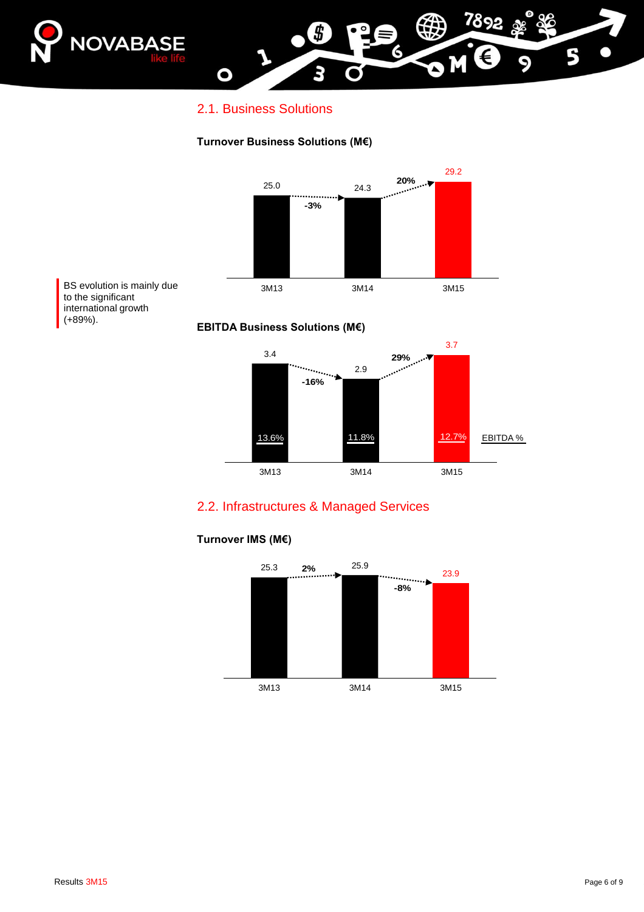

### 2.1. Business Solutions

O

#### **Turnover Business Solutions (M€)**





### 2.2. Infrastructures & Managed Services



#### **Turnover IMS (M€)**

5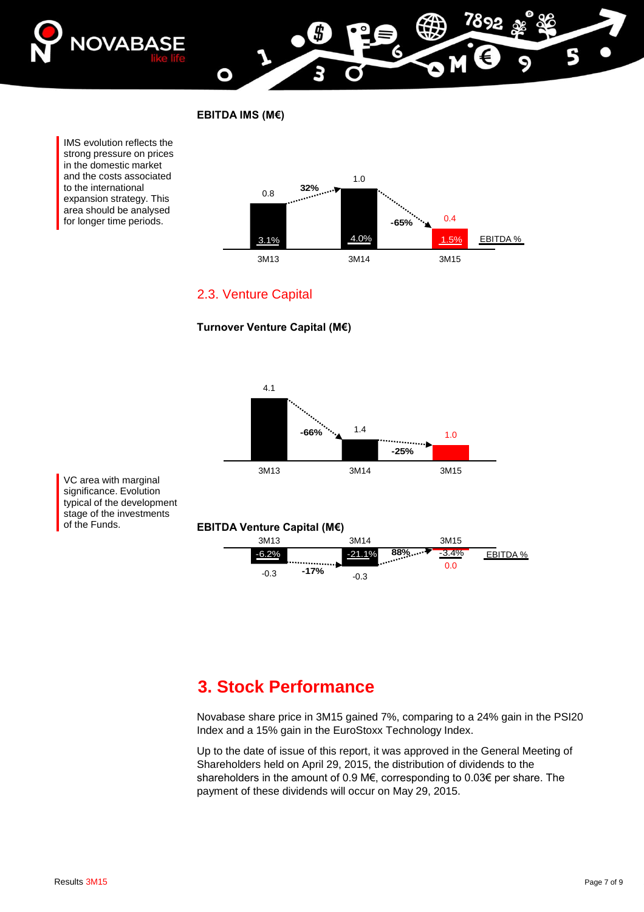

**EBITDA IMS (M€)**

O

IMS evolution reflects the strong pressure on prices in the domestic market and the costs associated to the international expansion strategy. This area should be analysed for longer time periods.



## 2.3. Venture Capital





VC area with marginal significance. Evolution typical of the development stage of the investments of the Funds.

#### **EBITDA Venture Capital (M€)**

| 3M13    |        | 3M14     |                    | 3M15 |                 |
|---------|--------|----------|--------------------|------|-----------------|
| $-6.2%$ |        | $-21.1%$ | $\frac{88\%}{0.0}$ |      | <b>FBITDA %</b> |
| $-0.3$  | $-17%$ | $-0.3$   |                    | 0.0  |                 |

## **3. Stock Performance**

Novabase share price in 3M15 gained 7%, comparing to a 24% gain in the PSI20 Index and a 15% gain in the EuroStoxx Technology Index.

Up to the date of issue of this report, it was approved in the General Meeting of Shareholders held on April 29, 2015, the distribution of dividends to the shareholders in the amount of 0.9 M€, corresponding to 0.03€ per share. The payment of these dividends will occur on May 29, 2015.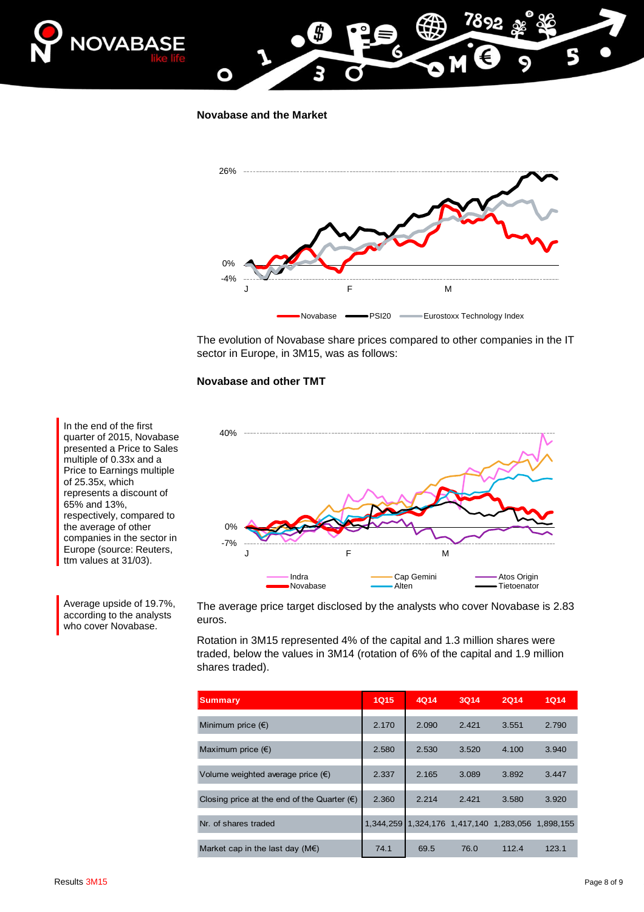

**Novabase and the Market**

О



The evolution of Novabase share prices compared to other companies in the IT sector in Europe, in 3M15, was as follows:

#### **Novabase and other TMT**



The average price target disclosed by the analysts who cover Novabase is 2.83 euros.

Rotation in 3M15 represented 4% of the capital and 1.3 million shares were traded, below the values in 3M14 (rotation of 6% of the capital and 1.9 million shares traded).

| <b>Summary</b>                                       | <b>1Q15</b> | 4Q14  | <b>3Q14</b>                             | <b>2Q14</b> | 1014  |
|------------------------------------------------------|-------------|-------|-----------------------------------------|-------------|-------|
| Minimum price $(\epsilon)$                           | 2.170       | 2.090 | 2.421                                   | 3.551       | 2.790 |
| Maximum price $(\epsilon)$                           | 2.580       | 2.530 | 3.520                                   | 4.100       | 3.940 |
| Volume weighted average price $(\epsilon)$           | 2.337       | 2.165 | 3.089                                   | 3.892       | 3.447 |
| Closing price at the end of the Quarter $(\epsilon)$ | 2.360       | 2.214 | 2.421                                   | 3.580       | 3.920 |
| Nr. of shares traded                                 | 1.344.259   |       | 1,324,176 1,417,140 1,283,056 1,898,155 |             |       |
| Market cap in the last day $(M \in)$                 | 74.1        | 69.5  | 76.0                                    | 112.4       | 123.1 |

quarter of 2015, Novabase presented a Price to Sales multiple of 0.33x and a Price to Earnings multiple of 25.35x, which represents a discount of 65% and 13%, respectively, compared to the average of other companies in the sector in Europe (source: Reuters, ttm values at 31/03).

In the end of the first

Average upside of 19.7%, according to the analysts who cover Novabase.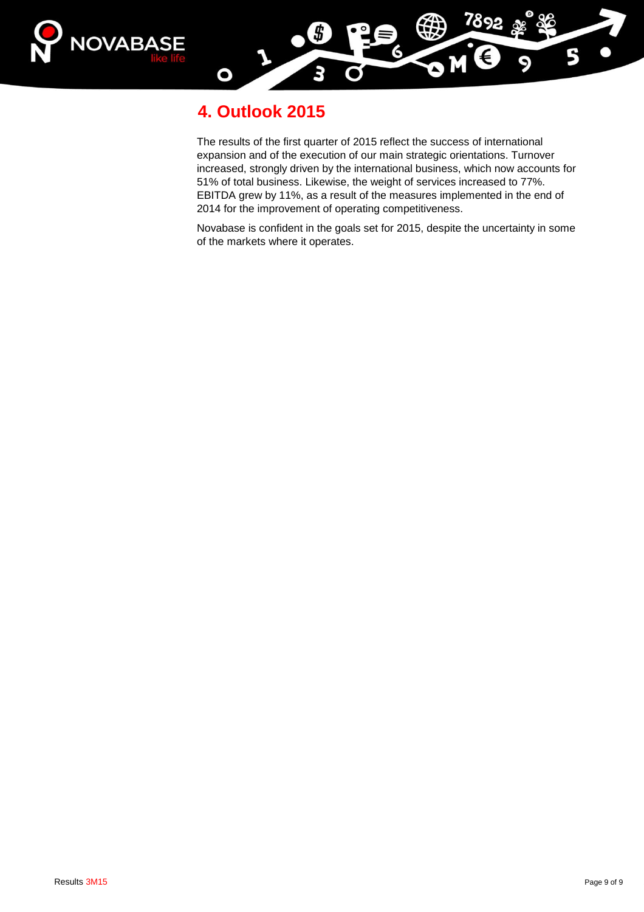



## **4. Outlook 2015**

The results of the first quarter of 2015 reflect the success of international expansion and of the execution of our main strategic orientations. Turnover increased, strongly driven by the international business, which now accounts for 51% of total business. Likewise, the weight of services increased to 77%. EBITDA grew by 11%, as a result of the measures implemented in the end of 2014 for the improvement of operating competitiveness.

Novabase is confident in the goals set for 2015, despite the uncertainty in some of the markets where it operates.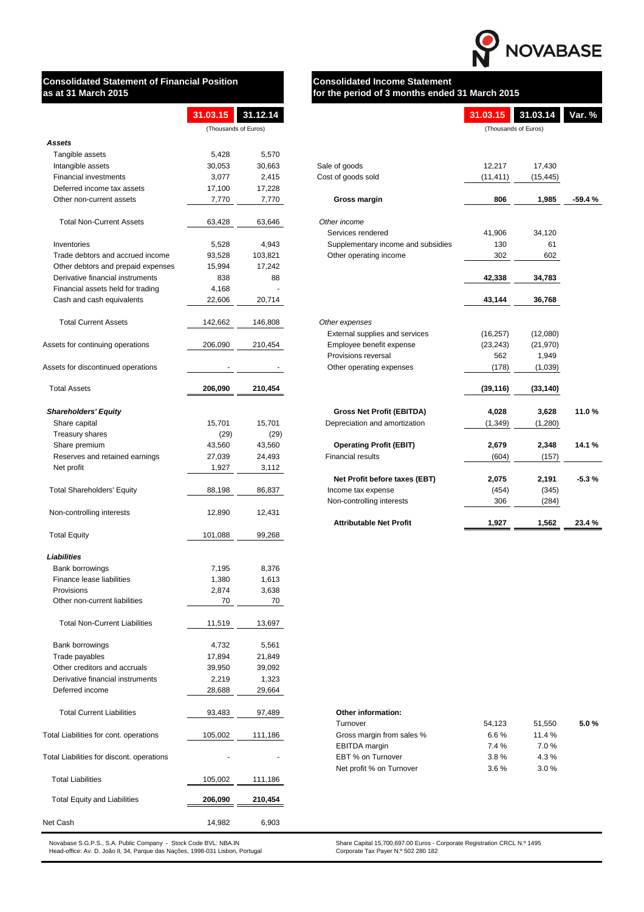

# **Consolidated Statement of Financial Position <b>Consolidated Income Statement**

# **as at 31 March 2015 for the period of 3 months ended 31 March 2015**

|                                    | 31.03.15             | 31.12.14 |                                    | 31.03.15  | 31.03.14             | Var. %   |
|------------------------------------|----------------------|----------|------------------------------------|-----------|----------------------|----------|
|                                    | (Thousands of Euros) |          |                                    |           | (Thousands of Euros) |          |
| <b>Assets</b>                      |                      |          |                                    |           |                      |          |
| Tangible assets                    | 5,428                | 5,570    |                                    |           |                      |          |
| Intangible assets                  | 30,053               | 30,663   | Sale of goods                      | 12,217    | 17,430               |          |
| <b>Financial investments</b>       | 3,077                | 2,415    | Cost of goods sold                 | (11, 411) | (15, 445)            |          |
| Deferred income tax assets         | 17,100               | 17,228   |                                    |           |                      |          |
| Other non-current assets           | 7,770                | 7,770    | <b>Gross margin</b>                | 806       | 1,985                | $-59.4%$ |
| <b>Total Non-Current Assets</b>    | 63,428               | 63,646   | Other income                       |           |                      |          |
|                                    |                      |          | Services rendered                  | 41,906    | 34,120               |          |
| Inventories                        | 5,528                | 4,943    | Supplementary income and subsidies | 130       | 61                   |          |
| Trade debtors and accrued income   | 93,528               | 103,821  | Other operating income             | 302       | 602                  |          |
| Other debtors and prepaid expenses | 15,994               | 17,242   |                                    |           |                      |          |
| Derivative financial instruments   | 838                  | 88       |                                    | 42,338    | 34,783               |          |
| Financial assets held for trading  | 4,168                |          |                                    |           |                      |          |
| Cash and cash equivalents          | 22,606               | 20,714   |                                    | 43,144    | 36,768               |          |
| <b>Total Current Assets</b>        | 142,662              | 146,808  | Other expenses                     |           |                      |          |
|                                    |                      |          | External supplies and services     | (16, 257) | (12,080)             |          |
| Assets for continuing operations   | 206,090              | 210,454  | Employee benefit expense           | (23, 243) | (21, 970)            |          |
|                                    |                      |          | Provisions reversal                | 562       | 1,949                |          |
| Assets for discontinued operations |                      |          | Other operating expenses           | (178)     | (1,039)              |          |
| <b>Total Assets</b>                | 206,090              | 210,454  |                                    | (39, 116) | (33, 140)            |          |
| <b>Shareholders' Equity</b>        |                      |          | <b>Gross Net Profit (EBITDA)</b>   | 4,028     | 3,628                | 11.0%    |
| Share capital                      | 15,701               | 15,701   | Depreciation and amortization      | (1, 349)  | (1,280)              |          |
| Treasury shares                    | (29)                 | (29)     |                                    |           |                      |          |
| Share premium                      | 43,560               | 43,560   | <b>Operating Profit (EBIT)</b>     | 2,679     | 2,348                | 14.1 %   |
| Reserves and retained earnings     | 27,039               | 24,493   | <b>Financial results</b>           | (604)     | (157)                |          |
| Net profit                         | 1,927                | 3,112    |                                    |           |                      |          |
|                                    |                      |          | Net Profit before taxes (EBT)      | 2,075     | 2,191                | $-5.3%$  |
| <b>Total Shareholders' Equity</b>  | 88,198               | 86,837   | Income tax expense                 | (454)     | (345)                |          |
|                                    |                      |          | Non-controlling interests          | 306       | (284)                |          |
| Non-controlling interests          | 12,890               | 12,431   |                                    |           |                      |          |
|                                    |                      |          | <b>Attributable Net Profit</b>     | 1,927     | 1,562                | 23.4 %   |
|                                    |                      |          |                                    |           |                      |          |

|                                      | 31.03.15 | 31.12.14             |                                    | 31.03.15  | 31.03.14             |
|--------------------------------------|----------|----------------------|------------------------------------|-----------|----------------------|
|                                      |          | (Thousands of Euros) |                                    |           | (Thousands of Euros) |
| <b>Assets</b>                        |          |                      |                                    |           |                      |
| Tangible assets                      | 5,428    | 5,570                |                                    |           |                      |
| Intangible assets                    | 30,053   | 30,663               | Sale of goods                      | 12,217    | 17,430               |
| <b>Financial investments</b>         | 3,077    | 2,415                | Cost of goods sold                 | (11, 411) | (15, 445)            |
| Deferred income tax assets           | 17,100   | 17,228               |                                    |           |                      |
| Other non-current assets             | 7,770    | 7,770                | <b>Gross margin</b>                | 806       | 1,985                |
| <b>Total Non-Current Assets</b>      | 63,428   | 63,646               | Other income                       |           |                      |
|                                      |          |                      | Services rendered                  | 41,906    | 34,120               |
| Inventories                          | 5,528    | 4,943                | Supplementary income and subsidies | 130       | 61                   |
| Trade debtors and accrued income     | 93,528   | 103,821              | Other operating income             | 302       | 602                  |
| Other debtors and prepaid expenses   | 15,994   | 17,242               |                                    |           |                      |
| Derivative financial instruments     | 838      | 88                   |                                    | 42,338    | 34,783               |
| Financial assets held for trading    | 4,168    |                      |                                    |           |                      |
| Cash and cash equivalents            | 22,606   | 20,714               |                                    | 43,144    | 36,768               |
| <b>Total Current Assets</b>          | 142,662  | 146,808              | Other expenses                     |           |                      |
|                                      |          |                      | External supplies and services     | (16, 257) | (12,080)             |
| Assets for continuing operations     | 206,090  | 210,454              | Employee benefit expense           | (23, 243) | (21, 970)            |
|                                      |          |                      | Provisions reversal                | 562       | 1,949                |
| Assets for discontinued operations   |          |                      | Other operating expenses           | (178)     | (1,039)              |
| <b>Total Assets</b>                  | 206,090  | 210,454              |                                    | (39, 116) | (33, 140)            |
| <b>Shareholders' Equity</b>          |          |                      | <b>Gross Net Profit (EBITDA)</b>   | 4,028     | 3,628                |
| Share capital                        | 15,701   | 15,701               | Depreciation and amortization      | (1, 349)  | (1,280)              |
| Treasury shares                      | (29)     | (29)                 |                                    |           |                      |
| Share premium                        | 43,560   | 43,560               | <b>Operating Profit (EBIT)</b>     | 2,679     | 2,348                |
| Reserves and retained earnings       | 27,039   | 24,493               | <b>Financial results</b>           | (604)     | (157)                |
| Net profit                           | 1,927    | 3,112                |                                    |           |                      |
|                                      |          |                      | Net Profit before taxes (EBT)      | 2,075     | 2,191                |
| <b>Total Shareholders' Equity</b>    | 88,198   | 86,837               | Income tax expense                 | (454)     | (345)                |
|                                      |          |                      | Non-controlling interests          | 306       | (284)                |
| Non-controlling interests            | 12,890   | 12,431               |                                    |           |                      |
|                                      |          |                      | <b>Attributable Net Profit</b>     | 1,927     | 1,562                |
| <b>Total Equity</b>                  | 101,088  | 99,268               |                                    |           |                      |
| <b>Liabilities</b>                   |          |                      |                                    |           |                      |
| Bank borrowings                      | 7,195    | 8,376                |                                    |           |                      |
| Finance lease liabilities            | 1,380    | 1,613                |                                    |           |                      |
| Provisions                           | 2,874    | 3,638                |                                    |           |                      |
| Other non-current liabilities        | 70       | 70                   |                                    |           |                      |
| <b>Total Non-Current Liabilities</b> | 11,519   | 13,697               |                                    |           |                      |
| Bank borrowings                      | 4,732    | 5,561                |                                    |           |                      |
| Trade payables                       | 17,894   | 21,849               |                                    |           |                      |
| Other creditors and accruals         | 39,950   | 39,092               |                                    |           |                      |

| Turnover                  | 54.123  | 51,550  | $5.0 \%$ |
|---------------------------|---------|---------|----------|
| Gross margin from sales % | 6.6 $%$ | 11.4%   |          |
| <b>EBITDA</b> margin      | $7.4\%$ | 7.0 %   |          |
| EBT % on Turnover         | $3.8\%$ | $4.3\%$ |          |
| Net profit % on Turnover  | $3.6\%$ | 3.0%    |          |

Head-office: Av. D. João II, 34, Parque das Nações, 1998-031 Lisbon, Portugal Corporate Tax Payer N.º 502 280 182

ase S.G.P.S., S.A. Public Company - Stock Code BVL: NBA.IN Share Capital 15,700,697.00 Euros - Corporate Registration CRCL N.º 1495

| Deferred income                                           | 28,688  | 29,664  |                                                                              |        |        |
|-----------------------------------------------------------|---------|---------|------------------------------------------------------------------------------|--------|--------|
| <b>Total Current Liabilities</b>                          | 93,483  | 97,489  | <b>Other information:</b>                                                    |        |        |
|                                                           |         |         | Turnover                                                                     | 54,123 | 51,550 |
| Total Liabilities for cont. operations                    | 105,002 | 111,186 | Gross margin from sales %                                                    | 6.6%   | 11.4%  |
|                                                           |         |         | <b>EBITDA</b> margin                                                         | 7.4%   | 7.0%   |
| Total Liabilities for discont. operations                 |         | ٠       | EBT % on Turnover                                                            | 3.8%   | 4.3 %  |
|                                                           |         |         | Net profit % on Turnover                                                     | 3.6%   | 3.0%   |
| <b>Total Liabilities</b>                                  | 105,002 | 111,186 |                                                                              |        |        |
| <b>Total Equity and Liabilities</b>                       | 206,090 | 210,454 |                                                                              |        |        |
| Net Cash                                                  | 14,982  | 6,903   |                                                                              |        |        |
| Novabase SCDS SA Public Company - Stock Code BVI - NBA IN |         |         | Share Capital 15, 700, 697, 00 Euros - Corporate Registration CRCL N 9, 1495 |        |        |

Derivative financial instruments 2,219 1,323

#### **Other information:**